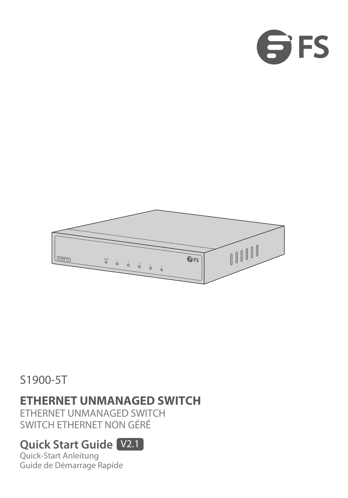



### S1900-5T

### **ETHERNET UNMANAGED SWITCH**

ETHERNET UNMANAGED SWITCH SWITCH ETHERNET NON GÉRÉ

### **Quick Start Guide** V2.1

Quick-Start Anleitung Guide de Démarrage Rapide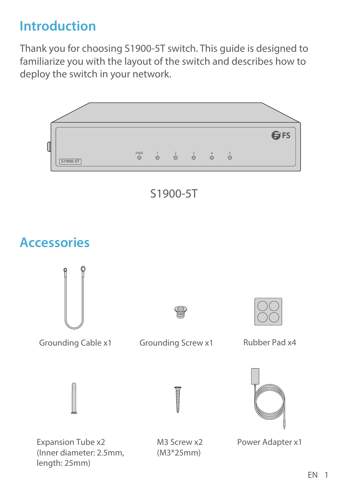# **Introduction**

Thank you for choosing S1900-5T switch. This guide is designed to familiarize you with the layout of the switch and describes how to deploy the switch in your network.

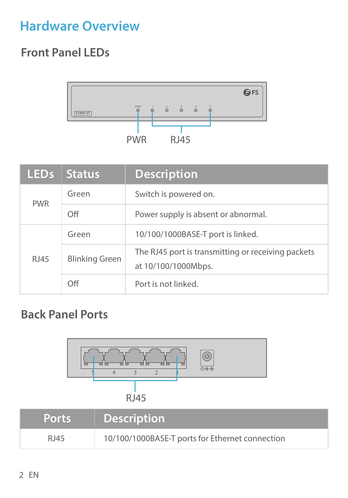# **Hardware Overview**

### **Front Panel LEDs**



| LED <sub>s</sub> | <b>Status</b>         | <b>Description</b>                                                        |
|------------------|-----------------------|---------------------------------------------------------------------------|
| <b>PWR</b>       | Green                 | Switch is powered on.                                                     |
|                  | Off                   | Power supply is absent or abnormal.                                       |
|                  | Green                 | 10/100/1000BASE-T port is linked.                                         |
| RJ45             | <b>Blinking Green</b> | The RJ45 port is transmitting or receiving packets<br>at 10/100/1000Mbps. |
|                  | Off                   | Port is not linked.                                                       |

### **Back Panel Ports**

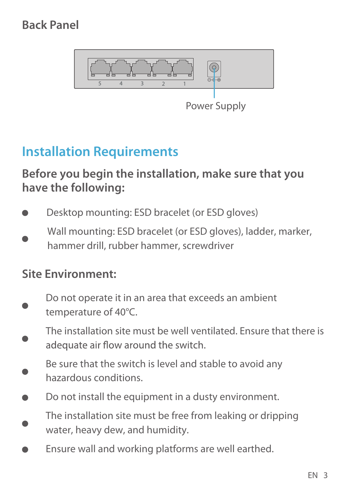### **Back Panel**



Power Supply

### **Installation Requirements**

**Before you begin the installation, make sure that you have the following:**

Desktop mounting: ESD bracelet (or ESD gloves) Wall mounting: ESD bracelet (or ESD gloves), ladder, marker hammer drill, rubber hammer, screwdriver

#### **Site Environment:**

- Do not operate it in an area that exceeds an ambient temperature of 40°C.
- The installation site must be well ventilated. Ensure that there is adequate air flow around the switch.
- Be sure that the switch is level and stable to avoid any hazardous conditions.
- Do not install the equipment in a dusty environment.
- The installation site must be free from leaking or dripping water, heavy dew, and humidity.
- Ensure wall and working platforms are well earthed.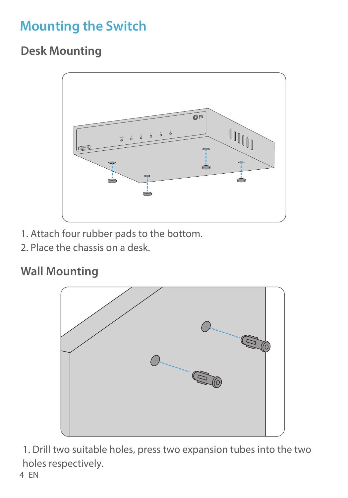# **Mounting the Switch**

### **Desk Mounting**



- 1. Attach four rubber pads to the bottom.
- 2. Place the chassis on a desk.

### **Wall Mounting**



1. Drill two suitable holes, press two expansion tubes into the two holes respectively. 4 EN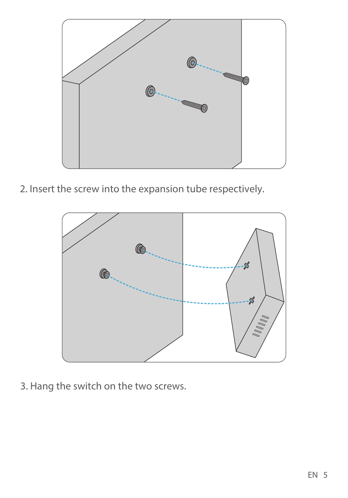

2. Insert the screw into the expansion tube respectively.



3. Hang the switch on the two screws.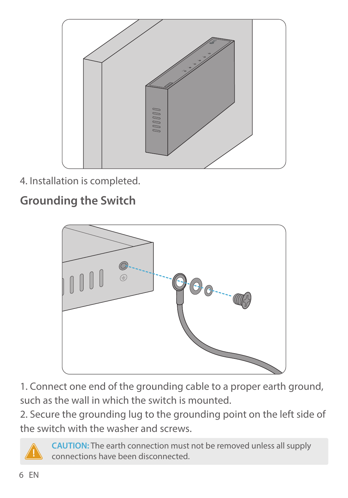

4. Installation is completed.

### **Grounding the Switch**



1. Connect one end of the grounding cable to a proper earth ground, such as the wall in which the switch is mounted.

2. Secure the grounding lug to the grounding point on the left side of the switch with the washer and screws.



**CAUTION:** The earth connection must not be removed unless all supply connections have been disconnected.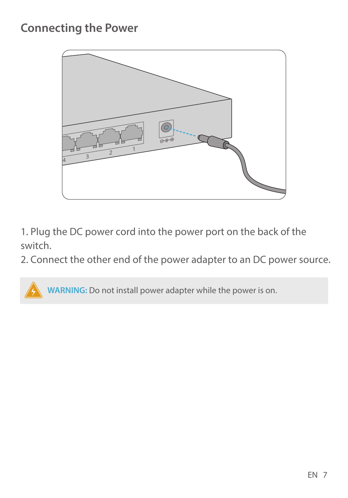### **Connecting the Power**



1. Plug the DC power cord into the power port on the back of the switch.

2. Connect the other end of the power adapter to an DC power source.

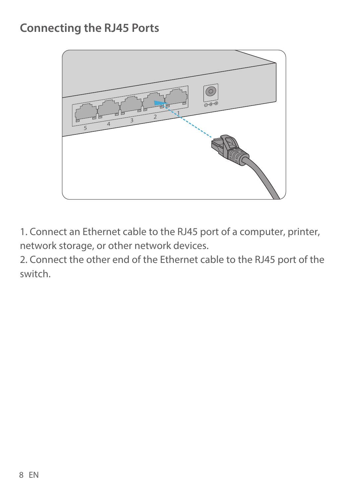### **Connecting the RJ45 Ports**



1. Connect an Ethernet cable to the RJ45 port of a computer, printer, network storage, or other network devices.

2. Connect the other end of the Ethernet cable to the RJ45 port of the switch.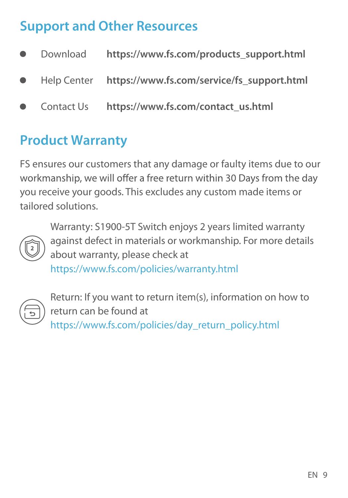# **Support and Other Resources**

- Download **https://www.fs.com/products\_support.html**
- Help Center **https://www.fs.com/service/fs\_support.html**
- Contact Us **https://www.fs.com/contact\_us.html**

### **Product Warranty**

FS ensures our customers that any damage or faulty items due to our workmanship, we will offer a free return within 30 Days from the day you receive your goods. This excludes any custom made items or tailored solutions.



Warranty: S1900-5T Switch enjoys 2 years limited warranty against defect in materials or workmanship. For more details about warranty, please check at

https://www.fs.com/policies/warranty.html



Return: If you want to return item(s), information on how to return can be found at https://www.fs.com/policies/day\_return\_policy.html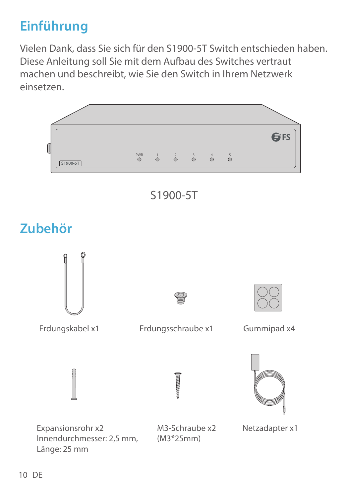# **Einführung**

Vielen Dank, dass Sie sich für den S1900-5T Switch entschieden haben. Diese Anleitung soll Sie mit dem Aufbau des Switches vertraut machen und beschreibt, wie Sie den Switch in Ihrem Netzwerk einsetzen.

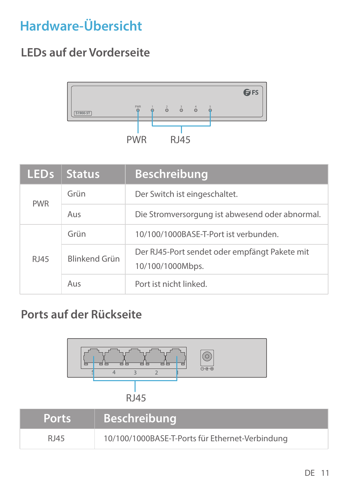# **Hardware-Übersicht**

### **LEDs auf der Vorderseite**



| <b>LEDS</b> | <b>Status</b> | <b>Beschreibung</b>                                               |
|-------------|---------------|-------------------------------------------------------------------|
| <b>PWR</b>  | Grün          | Der Switch ist eingeschaltet.                                     |
|             | Aus           | Die Stromversorgung ist abwesend oder abnormal.                   |
|             | Grün          | 10/100/1000BASE-T-Port ist verbunden.                             |
| <b>RI45</b> | Blinkend Grün | Der RJ45-Port sendet oder empfängt Pakete mit<br>10/100/1000Mbps. |
|             | Aus           | Port ist nicht linked.                                            |

### **Ports auf der Rückseite**

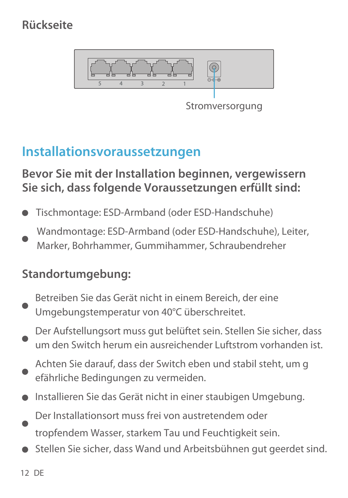### **Rückseite**



Stromversorgung

### **Installationsvoraussetzungen**

#### **Bevor Sie mit der Installation beginnen, vergewissern Sie sich, dass folgende Voraussetzungen erfüllt sind:**

- Tischmontage: ESD-Armband (oder ESD-Handschuhe)
- Wandmontage: ESD-Armband (oder ESD-Handschuhe), Leiter
- Marker, Bohrhammer, Gummihammer, Schraubendreher

#### **Standortumgebung:**

- Betreiben Sie das Gerät nicht in einem Bereich, der eine Umgebungstemperatur von 40°C überschreitet.
- Der Aufstellungsort muss gut belüftet sein. Stellen Sie sicher, dass um den Switch herum ein ausreichender Luftstrom vorhanden ist.
- Achten Sie darauf, dass der Switch eben und stabil steht, um g efährliche Bedingungen zu vermeiden.
- Installieren Sie das Gerät nicht in einer staubigen Umgebung.
- Der Installationsort muss frei von austretendem oder
- tropfendem Wasser, starkem Tau und Feuchtigkeit sein.
- Stellen Sie sicher, dass Wand und Arbeitsbühnen gut geerdet sind.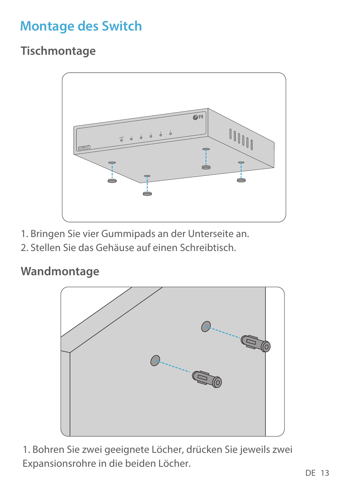# **Montage des Switch**

**Tischmontage**



- 1. Bringen Sie vier Gummipads an der Unterseite an.
- 2. Stellen Sie das Gehäuse auf einen Schreibtisch.

### **Wandmontage**



1. Bohren Sie zwei geeignete Löcher, drücken Sie jeweils zwei Expansionsrohre in die beiden Löcher.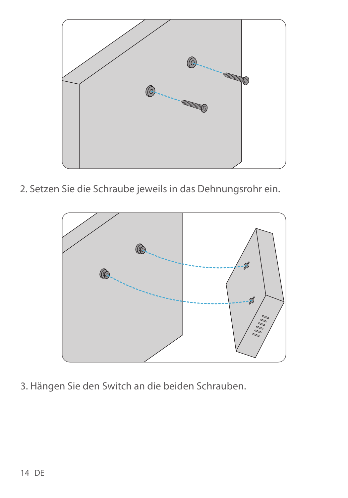

2. Setzen Sie die Schraube jeweils in das Dehnungsrohr ein.



3. Hängen Sie den Switch an die beiden Schrauben.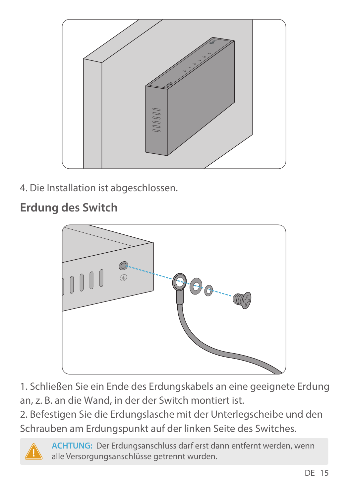

4. Die Installation ist abgeschlossen.

**Erdung des Switch**



1. Schließen Sie ein Ende des Erdungskabels an eine geeignete Erdung an, z. B. an die Wand, in der der Switch montiert ist.

2. Befestigen Sie die Erdungslasche mit der Unterlegscheibe und den Schrauben am Erdungspunkt auf der linken Seite des Switches.



**ACHTUNG:** Der Erdungsanschluss darf erst dann entfernt werden, wenn alle Versorgungsanschlüsse getrennt wurden.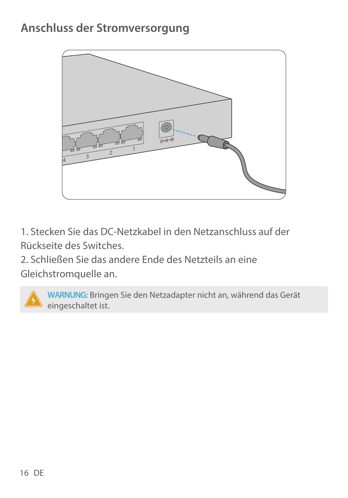### **Anschluss der Stromversorgung**



1. Stecken Sie das DC-Netzkabel in den Netzanschluss auf der Rückseite des Switches.

2. Schließen Sie das andere Ende des Netzteils an eine Gleichstromquelle an.

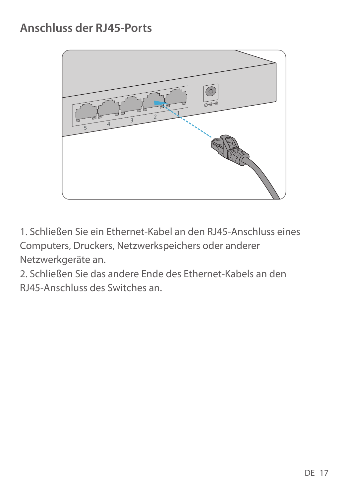## **Anschluss der RJ45-Ports**



1. Schließen Sie ein Ethernet-Kabel an den RJ45-Anschluss eines Computers, Druckers, Netzwerkspeichers oder anderer Netzwerkgeräte an.

2. Schließen Sie das andere Ende des Ethernet-Kabels an den RJ45-Anschluss des Switches an.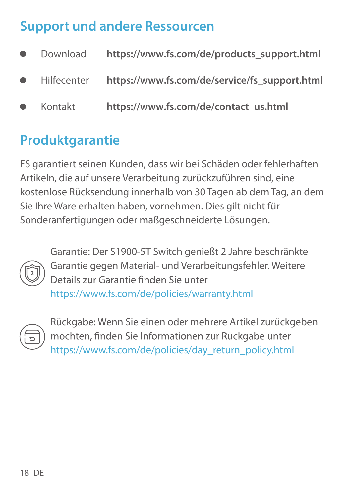### **Support und andere Ressourcen**

| ٠ | Download    | https://www.fs.com/de/products_support.html   |
|---|-------------|-----------------------------------------------|
| ٠ | Hilfecenter | https://www.fs.com/de/service/fs support.html |
| ٠ | Kontakt     | https://www.fs.com/de/contact_us.html         |

# **Produktgarantie**

FS garantiert seinen Kunden, dass wir bei Schäden oder fehlerhaften Artikeln, die auf unsere Verarbeitung zurückzuführen sind, eine kostenlose Rücksendung innerhalb von 30 Tagen ab dem Tag, an dem Sie Ihre Ware erhalten haben, vornehmen. Dies gilt nicht für Sonderanfertigungen oder maßgeschneiderte Lösungen.



Garantie: Der S1900-5T Switch genießt 2 Jahre beschränkte Garantie gegen Material- und Verarbeitungsfehler. Weitere Details zur Garantie finden Sie unter https://www.fs.com/de/policies/warranty.html



Rückgabe: Wenn Sie einen oder mehrere Artikel zurückgeben möchten, finden Sie Informationen zur Rückgabe unter https://www.fs.com/de/policies/day\_return\_policy.html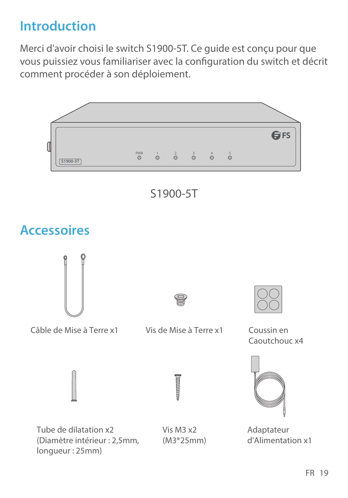# **Introduction**

Merci d'avoir choisi le switch S1900-5T. Ce guide est conçu pour que vous puissiez vous familiariser avec la configuration du switch et décrit comment procéder à son déploiement.

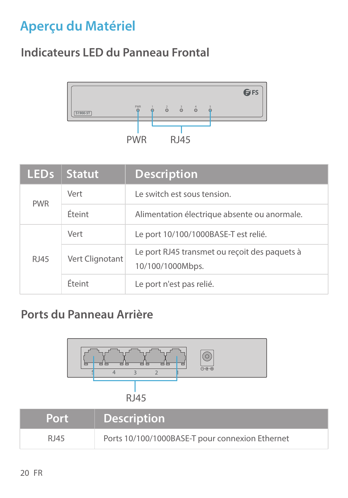# **Aperçu du Matériel**

### **Indicateurs LED du Panneau Frontal**



| LED <sub>s</sub> | <b>Statut</b>   | <b>Description</b>                                                |
|------------------|-----------------|-------------------------------------------------------------------|
| <b>PWR</b>       | Vert            | Le switch est sous tension.                                       |
|                  | Éteint          | Alimentation électrique absente ou anormale.                      |
|                  | Vert            | Le port 10/100/1000BASE-T est relié.                              |
| <b>RI45</b>      | Vert Clignotant | Le port RJ45 transmet ou reçoit des paquets à<br>10/100/1000Mbps. |
|                  | Éteint          | Le port n'est pas relié.                                          |

### **Ports du Panneau Arrière**



| .    | <b>Description</b>                              |
|------|-------------------------------------------------|
| RJ45 | Ports 10/100/1000BASE-T pour connexion Ethernet |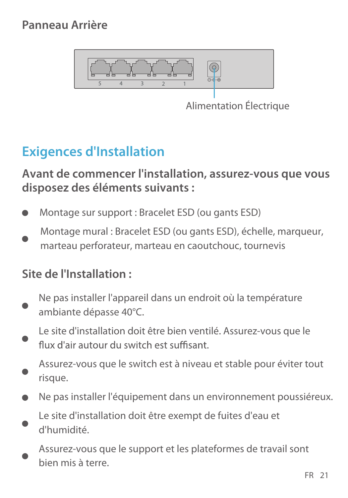#### **Panneau Arrière**



Alimentation Électrique

# **Exigences d'Installation**

**Avant de commencer l'installation, assurez-vous que vous disposez des éléments suivants :**

- Montage sur support : Bracelet ESD (ou gants ESD)
- Montage mural : Bracelet ESD (ou gants ESD), échelle, marqueur marteau perforateur, marteau en caoutchouc, tournevis

#### **Site de l'Installation :**

- Ne pas installer l'appareil dans un endroit où la température ambiante dépasse 40°C.
- Le site d'installation doit être bien ventilé. Assurez-vous que le flux d'air autour du switch est suffisant
- Assurez-vous que le switch est à niveau et stable pour éviter tout risque.
- Ne pas installer l'équipement dans un environnement poussiéreux.
- Le site d'installation doit être exempt de fuites d'eau et d'humidité.
- Assurez-vous que le support et les plateformes de travail sont bien mis à terre.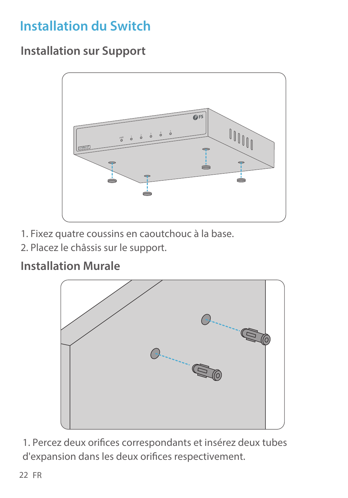# **Installation du Switch**

**Installation sur Support**



- 1. Fixez quatre coussins en caoutchouc à la base.
- 2. Placez le châssis sur le support.

#### **Installation Murale**



1. Percez deux orifices correspondants et insérez deux tubes d'expansion dans les deux orifices respectivement.

22 FR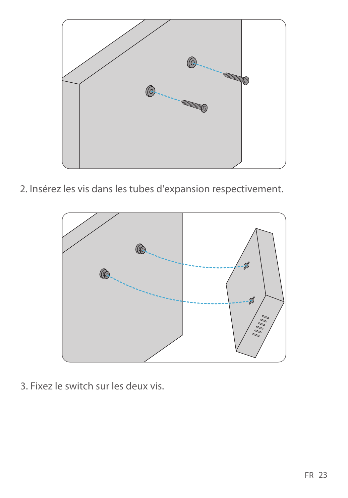

2. Insérez les vis dans les tubes d'expansion respectivement.



3. Fixez le switch sur les deux vis.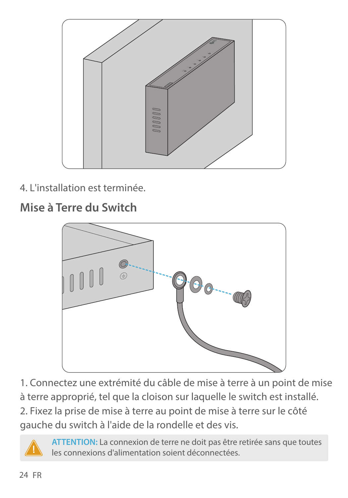

4. L'installation est terminée.

**Mise à Terre du Switch**



1. Connectez une extrémité du câble de mise à terre à un point de mise à terre approprié, tel que la cloison sur laquelle le switch est installé.

2. Fixez la prise de mise à terre au point de mise à terre sur le côté gauche du switch à l'aide de la rondelle et des vis.

**ATTENTION:** La connexion de terre ne doit pas être retirée sans que toutes les connexions d'alimentation soient déconnectées.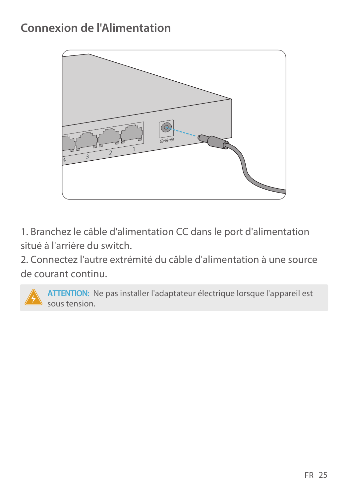### **Connexion de l'Alimentation**



1. Branchez le câble d'alimentation CC dans le port d'alimentation situé à l'arrière du switch.

2. Connectez l'autre extrémité du câble d'alimentation à une source de courant continu.

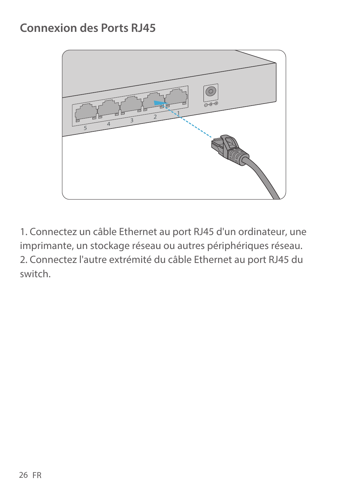### **Connexion des Ports RJ45**



1. Connectez un câble Ethernet au port RJ45 d'un ordinateur, une imprimante, un stockage réseau ou autres périphériques réseau. 2. Connectez l'autre extrémité du câble Ethernet au port RJ45 du switch.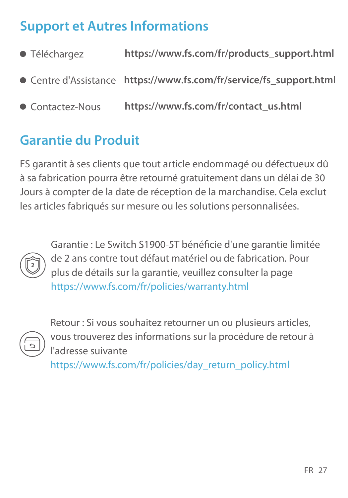# **Support et Autres Informations**

| ● Téléchargez    | https://www.fs.com/fr/products_support.html                         |
|------------------|---------------------------------------------------------------------|
|                  | • Centre d'Assistance https://www.fs.com/fr/service/fs support.html |
| • Contactez-Nous | https://www.fs.com/fr/contact_us.html                               |

### **Garantie du Produit**

FS garantit à ses clients que tout article endommagé ou défectueux dû à sa fabrication pourra être retourné gratuitement dans un délai de 30 Jours à compter de la date de réception de la marchandise. Cela exclut les articles fabriqués sur mesure ou les solutions personnalisées.



Garantie : Le Switch S1900-5T bénéficie d'une garantie limitée de 2 ans contre tout défaut matériel ou de fabrication. Pour plus de détails sur la garantie, veuillez consulter la page https://www.fs.com/fr/policies/warranty.html



Retour : Si vous souhaitez retourner un ou plusieurs articles, vous trouverez des informations sur la procédure de retour à l'adresse suivante

https://www.fs.com/fr/policies/day\_return\_policy.html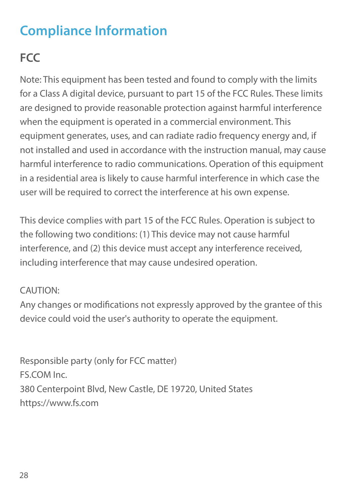# **Compliance Information**

# **FCC**

Note: This equipment has been tested and found to comply with the limits for a Class A digital device, pursuant to part 15 of the FCC Rules. These limits are designed to provide reasonable protection against harmful interference when the equipment is operated in a commercial environment. This equipment generates, uses, and can radiate radio frequency energy and, if not installed and used in accordance with the instruction manual, may cause harmful interference to radio communications. Operation of this equipment in a residential area is likely to cause harmful interference in which case the user will be required to correct the interference at his own expense.

This device complies with part 15 of the FCC Rules. Operation is subject to the following two conditions: (1) This device may not cause harmful interference, and (2) this device must accept any interference received, including interference that may cause undesired operation.

#### CAUTION:

Any changes or modifications not expressly approved by the grantee of this device could void the user's authority to operate the equipment.

Responsible party (only for FCC matter) FS.COM Inc. 380 Centerpoint Blvd, New Castle, DE 19720, United States https://www.fs.com